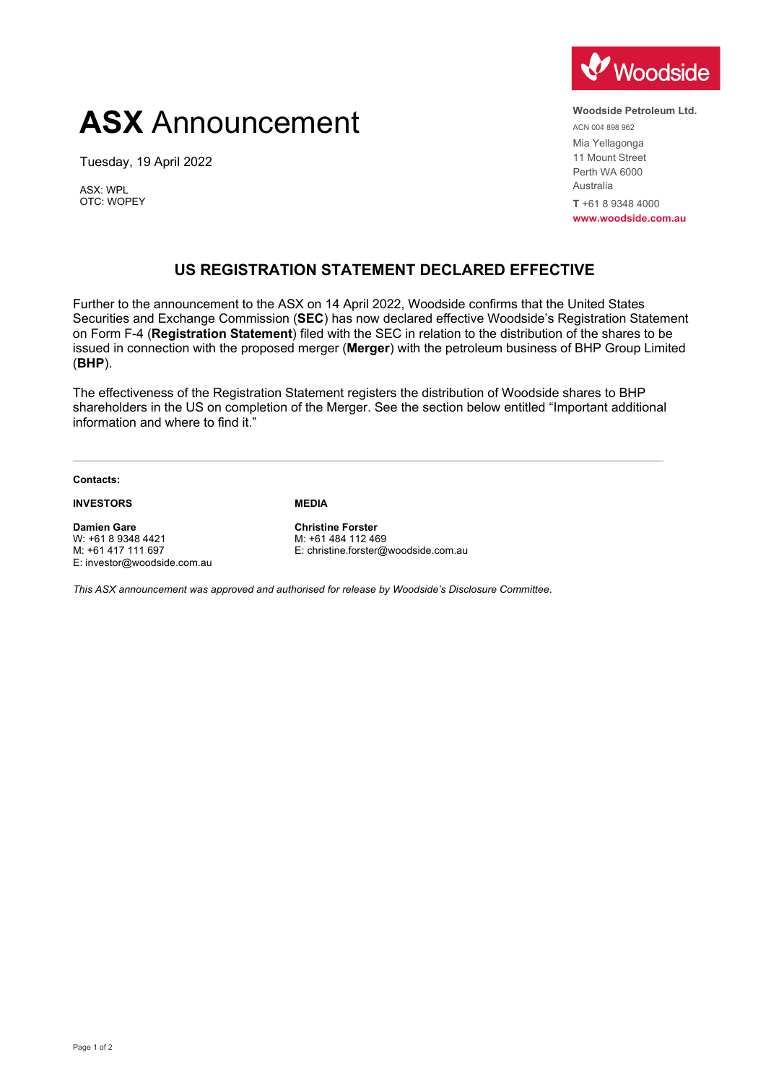# **ASX** Announcement

Tuesday, 19 April 2022

ASX: WPL OTC: WOPEY



**Woodside Petroleum Ltd.** ACN 004 898 962 Mia Yellagonga 11 Mount Street Perth WA 6000 Australia **T** +61 8 9348 4000 **www.woodside.com.au**

## **US REGISTRATION STATEMENT DECLARED EFFECTIVE**

Further to the announcement to the ASX on 14 April 2022, Woodside confirms that the United States Securities and Exchange Commission (**SEC**) has now declared effective Woodside's Registration Statement on Form F-4 (**Registration Statement**) filed with the SEC in relation to the distribution of the shares to be issued in connection with the proposed merger (**Merger**) with the petroleum business of BHP Group Limited (**BHP**).

The effectiveness of the Registration Statement registers the distribution of Woodside shares to BHP shareholders in the US on completion of the Merger. See the section below entitled "Important additional information and where to find it."

**Contacts:**

### **INVESTORS**

**Damien Gare** W: +61 8 9348 4421 M: +61 417 111 697 E: investor@woodside.com.au

### **MEDIA**

**Christine Forster** M: +61 484 112 469 E: christine.forster@woodside.com.au

*This ASX announcement was approved and authorised for release by Woodside's Disclosure Committee*.